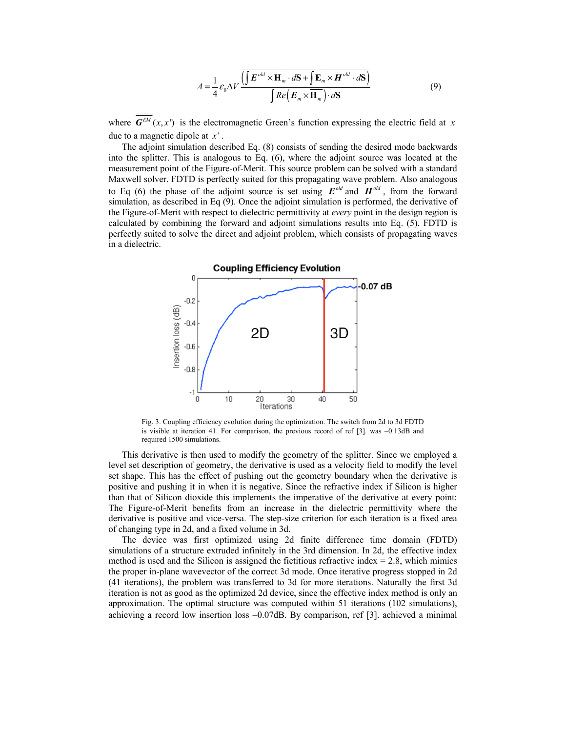$$
A = \frac{1}{4} \varepsilon_0 \Delta V \frac{\left(\int E^{\text{old}} \times \overline{\mathbf{H}_m} \cdot d\mathbf{S} + \int \overline{\mathbf{E}_m} \times H^{\text{old}} \cdot d\mathbf{S}\right)}{\int Re\left(\mathbf{E}_m \times \overline{\mathbf{H}_m}\right) \cdot d\mathbf{S}}
$$
(9)

where  $\overline{G^{EM}}(x, x')$  is the electromagnetic Green's function expressing the electric field at *x* due to a magnetic dipole at *x* ' .

The adjoint simulation described Eq. (8) consists of sending the desired mode backwards into the splitter. This is analogous to Eq. (6), where the adjoint source was located at the measurement point of the Figure-of-Merit. This source problem can be solved with a standard Maxwell solver. FDTD is perfectly suited for this propagating wave problem. Also analogous to Eq (6) the phase of the adjoint source is set using  $E^{old}$  and  $H^{old}$ , from the forward simulation, as described in Eq (9). Once the adjoint simulation is performed, the derivative of the Figure-of-Merit with respect to dielectric permittivity at *every* point in the design region is calculated by combining the forward and adjoint simulations results into Eq. (5). FDTD is perfectly suited to solve the direct and adjoint problem, which consists of propagating waves in a dielectric.



Fig. 3. Coupling efficiency evolution during the optimization. The switch from 2d to 3d FDTD is visible at iteration 41. For comparison, the previous record of ref [3]. was −0.13dB and required 1500 simulations.

This derivative is then used to modify the geometry of the splitter. Since we employed a level set description of geometry, the derivative is used as a velocity field to modify the level set shape. This has the effect of pushing out the geometry boundary when the derivative is positive and pushing it in when it is negative. Since the refractive index if Silicon is higher than that of Silicon dioxide this implements the imperative of the derivative at every point: The Figure-of-Merit benefits from an increase in the dielectric permittivity where the derivative is positive and vice-versa. The step-size criterion for each iteration is a fixed area of changing type in 2d, and a fixed volume in 3d.

The device was first optimized using 2d finite difference time domain (FDTD) simulations of a structure extruded infinitely in the 3rd dimension. In 2d, the effective index method is used and the Silicon is assigned the fictitious refractive index  $= 2.8$ , which mimics the proper in-plane wavevector of the correct 3d mode. Once iterative progress stopped in 2d (41 iterations), the problem was transferred to 3d for more iterations. Naturally the first 3d iteration is not as good as the optimized 2d device, since the effective index method is only an approximation. The optimal structure was computed within 51 iterations (102 simulations), achieving a record low insertion loss −0.07dB. By comparison, ref [3]. achieved a minimal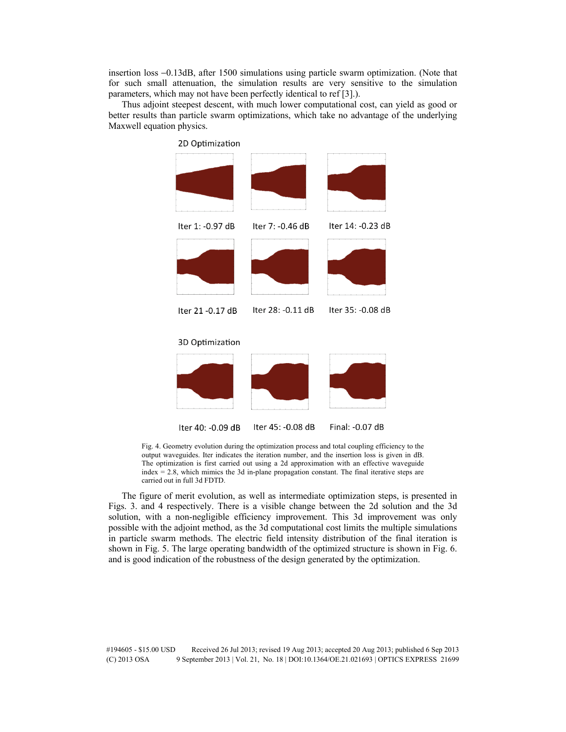insertion loss −0.13dB, after 1500 simulations using particle swarm optimization. (Note that for such small attenuation, the simulation results are very sensitive to the simulation parameters, which may not have been perfectly identical to ref [3].).

Thus adjoint steepest descent, with much lower computational cost, can yield as good or better results than particle swarm optimizations, which take no advantage of the underlying Maxwell equation physics.



Fig. 4. Geometry evolution during the optimization process and total coupling efficiency to the output waveguides. Iter indicates the iteration number, and the insertion loss is given in dB. The optimization is first carried out using a 2d approximation with an effective waveguide index = 2.8, which mimics the 3d in-plane propagation constant. The final iterative steps are carried out in full 3d FDTD.

The figure of merit evolution, as well as intermediate optimization steps, is presented in Figs. 3. and 4 respectively. There is a visible change between the 2d solution and the 3d solution, with a non-negligible efficiency improvement. This 3d improvement was only possible with the adjoint method, as the 3d computational cost limits the multiple simulations in particle swarm methods. The electric field intensity distribution of the final iteration is shown in Fig. 5. The large operating bandwidth of the optimized structure is shown in Fig. 6. and is good indication of the robustness of the design generated by the optimization.

#194605 - \$15.00 USD Received 26 Jul 2013; revised 19 Aug 2013; accepted 20 Aug 2013; published 6 Sep 2013 (C) 2013 OSA 9 September 2013 | Vol. 21, No. 18 | DOI:10.1364/OE.21.021693 | OPTICS EXPRESS 21699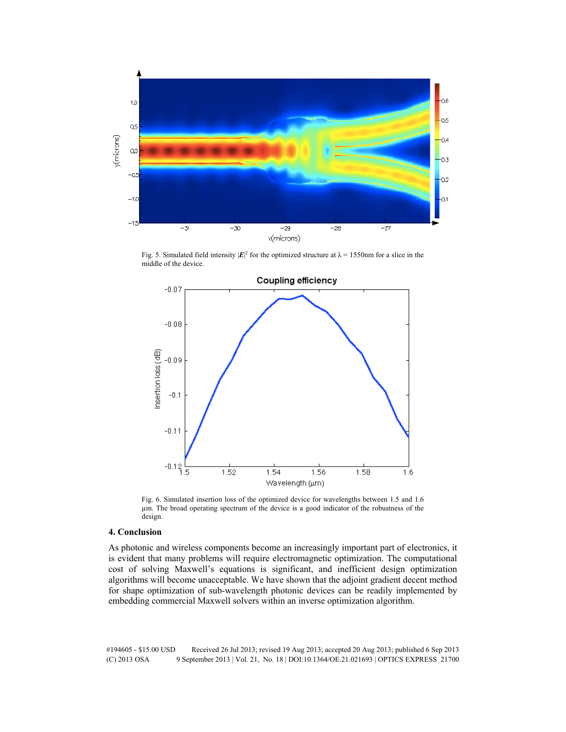

Fig. 5. Simulated field intensity  $|E|^2$  for the optimized structure at  $\lambda = 1550$ nm for a slice in the middle of the device.



Fig. 6. Simulated insertion loss of the optimized device for wavelengths between 1.5 and 1.6 µm. The broad operating spectrum of the device is a good indicator of the robustness of the design.

## **4. Conclusion**

As photonic and wireless components become an increasingly important part of electronics, it is evident that many problems will require electromagnetic optimization. The computational cost of solving Maxwell's equations is significant, and inefficient design optimization algorithms will become unacceptable. We have shown that the adjoint gradient decent method for shape optimization of sub-wavelength photonic devices can be readily implemented by embedding commercial Maxwell solvers within an inverse optimization algorithm.

#194605 - \$15.00 USD Received 26 Jul 2013; revised 19 Aug 2013; accepted 20 Aug 2013; published 6 Sep 2013 (C) 2013 OSA 9 September 2013 | Vol. 21, No. 18 | DOI:10.1364/OE.21.021693 | OPTICS EXPRESS 21700